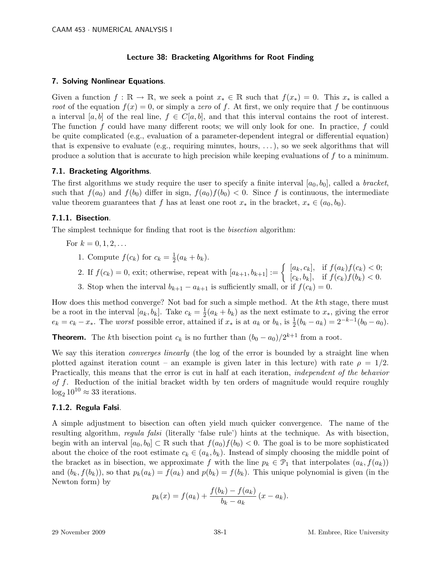# Lecture 38: Bracketing Algorithms for Root Finding

### 7. Solving Nonlinear Equations.

Given a function  $f : \mathbb{R} \to \mathbb{R}$ , we seek a point  $x_* \in \mathbb{R}$  such that  $f(x_*) = 0$ . This  $x_*$  is called a root of the equation  $f(x) = 0$ , or simply a zero of f. At first, we only require that f be continuous a interval  $[a, b]$  of the real line,  $f \in C[a, b]$ , and that this interval contains the root of interest. The function  $f$  could have many different roots; we will only look for one. In practice,  $f$  could be quite complicated (e.g., evaluation of a parameter-dependent integral or differential equation) that is expensive to evaluate (e.g., requiring minutes, hours,  $\dots$ ), so we seek algorithms that will produce a solution that is accurate to high precision while keeping evaluations of f to a minimum.

### 7.1. Bracketing Algorithms.

The first algorithms we study require the user to specify a finite interval  $[a_0, b_0]$ , called a *bracket*, such that  $f(a_0)$  and  $f(b_0)$  differ in sign,  $f(a_0)f(b_0) < 0$ . Since f is continuous, the intermediate value theorem guarantees that f has at least one root  $x_*$  in the bracket,  $x_* \in (a_0, b_0)$ .

# 7.1.1. Bisection.

The simplest technique for finding that root is the bisection algorithm:

For  $k = 0, 1, 2, ...$ 

- 1. Compute  $f(c_k)$  for  $c_k = \frac{1}{2}(a_k + b_k)$ .
- 2. If  $f(c_k) = 0$ , exit; otherwise, repeat with  $[a_{k+1}, b_{k+1}] := \begin{cases} [a_k, c_k], & \text{if } f(a_k)f(c_k) < 0; \\ [a_k, b_k], & \text{if } f(a_k)f(b_k) < 0. \end{cases}$  $[c_k, b_k], \text{ if } f(c_k)f(b_k) < 0.$
- 3. Stop when the interval  $b_{k+1} a_{k+1}$  is sufficiently small, or if  $f(c_k) = 0$ .

How does this method converge? Not bad for such a simple method. At the kth stage, there must be a root in the interval  $[a_k, b_k]$ . Take  $c_k = \frac{1}{2}$  $\frac{1}{2}(a_k + b_k)$  as the next estimate to  $x_*$ , giving the error  $e_k = c_k - x_*$ . The worst possible error, attained if  $x_*$  is at  $a_k$  or  $b_k$ , is  $\frac{1}{2}(b_k - a_k) = 2^{-k-1}(b_0 - a_0)$ .

**Theorem.** The kth bisection point  $c_k$  is no further than  $(b_0 - a_0)/2^{k+1}$  from a root.

We say this iteration *converges linearly* (the log of the error is bounded by a straight line when plotted against iteration count – an example is given later in this lecture) with rate  $\rho = 1/2$ . Practically, this means that the error is cut in half at each iteration, independent of the behavior of f. Reduction of the initial bracket width by ten orders of magnitude would require roughly  $\log_2 10^{10} \approx 33$  iterations.

### 7.1.2. Regula Falsi.

A simple adjustment to bisection can often yield much quicker convergence. The name of the resulting algorithm, regula falsi (literally 'false rule') hints at the technique. As with bisection, begin with an interval  $[a_0, b_0] \subset \mathbb{R}$  such that  $f(a_0) f(b_0) < 0$ . The goal is to be more sophisticated about the choice of the root estimate  $c_k \in (a_k, b_k)$ . Instead of simply choosing the middle point of the bracket as in bisection, we approximate f with the line  $p_k \in \mathcal{P}_1$  that interpolates  $(a_k, f(a_k))$ and  $(b_k, f(b_k))$ , so that  $p_k(a_k) = f(a_k)$  and  $p(b_k) = f(b_k)$ . This unique polynomial is given (in the Newton form) by

$$
p_k(x) = f(a_k) + \frac{f(b_k) - f(a_k)}{b_k - a_k} (x - a_k).
$$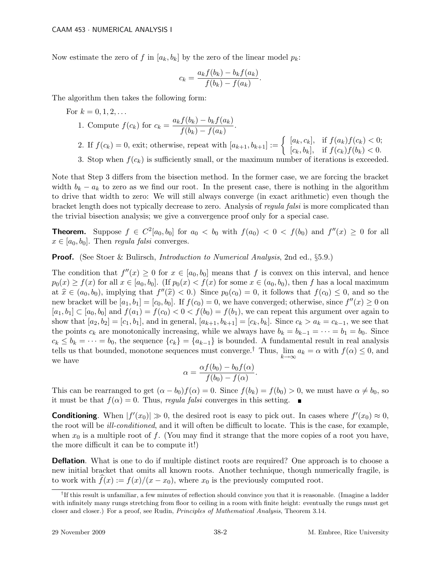Now estimate the zero of f in  $[a_k, b_k]$  by the zero of the linear model  $p_k$ :

$$
c_k = \frac{a_k f(b_k) - b_k f(a_k)}{f(b_k) - f(a_k)}.
$$

The algorithm then takes the following form:

For  $k = 0, 1, 2, ...$ 

1. Compute 
$$
f(c_k)
$$
 for  $c_k = \frac{a_k f(b_k) - b_k f(a_k)}{f(b_k) - f(a_k)}$ .

2. If  $f(c_k) = 0$ , exit; otherwise, repeat with  $[a_{k+1}, b_{k+1}] := \begin{cases} [a_k, c_k], & \text{if } f(a_k) f(c_k) < 0; \\ [a_k, b_k] & \text{if } f(a_k) f(b_k) < 0. \end{cases}$  $[c_k, b_k], \text{ if } f(c_k)f(b_k) < 0.$ 3. Stop when  $f(c_k)$  is sufficiently small, or the maximum number of iterations

Note that Step 3 differs from the bisection method. In the former case, we are forcing the bracket width  $b_k - a_k$  to zero as we find our root. In the present case, there is nothing in the algorithm to drive that width to zero: We will still always converge (in exact arithmetic) even though the bracket length does not typically decrease to zero. Analysis of regula falsi is more complicated than the trivial bisection analysis; we give a convergence proof only for a special case.

**Theorem.** Suppose  $f \in C^2[a_0, b_0]$  for  $a_0 < b_0$  with  $f(a_0) < 0 < f(b_0)$  and  $f''(x) \geq 0$  for all  $x \in [a_0, b_0]$ . Then *regula falsi* converges.

**Proof.** (See Stoer & Bulirsch, *Introduction to Numerical Analysis*, 2nd ed., §5.9.)

The condition that  $f''(x) \geq 0$  for  $x \in [a_0, b_0]$  means that f is convex on this interval, and hence  $p_0(x) \ge f(x)$  for all  $x \in [a_0, b_0]$ . (If  $p_0(x) < f(x)$  for some  $x \in (a_0, b_0)$ , then f has a local maximum at  $\hat{x} \in (a_0, b_0)$ , implying that  $f''(\hat{x}) < 0$ .) Since  $p_0(c_0) = 0$ , it follows that  $f(c_0) \le 0$ , and so the new bracket will be  $[a_1, b_1] = [c_0, b_0]$ . If  $f(c_0) = 0$ , we have converged; otherwise, since  $f''(x) \ge 0$  on  $[a_1, b_1] \subset [a_0, b_0]$  and  $f(a_1) = f(c_0) < 0 < f(b_0) = f(b_1)$ , we can repeat this argument over again to show that  $[a_2, b_2] = [c_1, b_1]$ , and in general,  $[a_{k+1}, b_{k+1}] = [c_k, b_k]$ . Since  $c_k > a_k = c_{k-1}$ , we see that the points  $c_k$  are monotonically increasing, while we always have  $b_k = b_{k-1} = \cdots = b_1 = b_0$ . Since  $c_k \le b_k = \cdots = b_0$ , the sequence  $\{c_k\} = \{a_{k-1}\}\$ is bounded. A fundamental result in real analysis tells us that bounded, monotone sequences must converge.<sup>†</sup> Thus,  $\lim_{k\to\infty} a_k = \alpha$  with  $f(\alpha) \leq 0$ , and we have

$$
\alpha = \frac{\alpha f(b_0) - b_0 f(\alpha)}{f(b_0) - f(\alpha)}.
$$

This can be rearranged to get  $(\alpha - b_0)f(\alpha) = 0$ . Since  $f(b_k) = f(b_0) > 0$ , we must have  $\alpha \neq b_0$ , so it must be that  $f(\alpha) = 0$ . Thus, *regula falsi* converges in this setting.

**Conditioning**. When  $|f'(x_0)| \gg 0$ , the desired root is easy to pick out. In cases where  $f'(x_0) \approx 0$ , the root will be *ill-conditioned*, and it will often be difficult to locate. This is the case, for example, when  $x_0$  is a multiple root of f. (You may find it strange that the more copies of a root you have, the more difficult it can be to compute it!)

**Deflation.** What is one to do if multiple distinct roots are required? One approach is to choose a new initial bracket that omits all known roots. Another technique, though numerically fragile, is to work with  $f(x) := f(x)/(x - x_0)$ , where  $x_0$  is the previously computed root.

<sup>&</sup>lt;sup>†</sup>If this result is unfamiliar, a few minutes of reflection should convince you that it is reasonable. (Imagine a ladder with infinitely many rungs stretching from floor to ceiling in a room with finite height: eventually the rungs must get closer and closer.) For a proof, see Rudin, Principles of Mathematical Analysis, Theorem 3.14.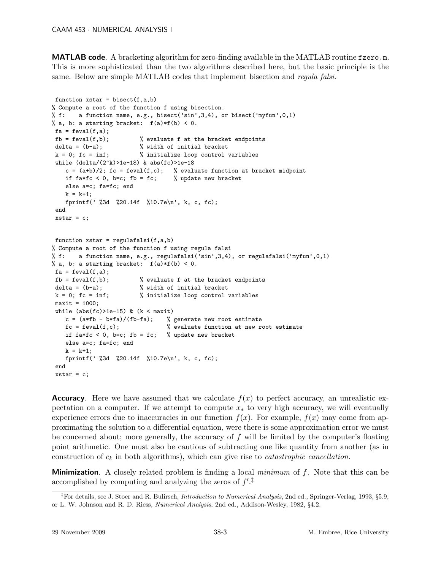**MATLAB code.** A bracketing algorithm for zero-finding available in the MATLAB routine fzero.m. This is more sophisticated than the two algorithms described here, but the basic principle is the same. Below are simple MATLAB codes that implement bisection and *regula falsi*.

```
function xstar = bisect(f,a,b)% Compute a root of the function f using bisection.
% f: a function name, e.g., bisect('sin',3,4), or bisect('myfun',0,1)
% a, b: a starting bracket: f(a)*f(b) < 0.
fa = feval(f, a);fb = \text{feval}(f,b); % evaluate f at the bracket endpoints
delta = (b-a);<br>
k = 0; fc = inf;<br>
% initialize loop control v
                         % initialize loop control variables
while (detta/(2^k)>1e-18) & abs(fc)>1e-18
    c = (a+b)/2; fc = feval(f,c); % evaluate function at bracket midpoint
    if fa*fc < 0, b=c; fb = fc; % update new bracket
   else a=c; fa=fc; end
   k = k+1;fprintf(' %3d %20.14f %10.7e\n', k, c, fc);
end
xstar = c;function xstar = regularfalsi(f,a,b)% Compute a root of the function f using regula falsi
% f: a function name, e.g., regulafalsi('sin',3,4), or regulafalsi('myfun',0,1)
% a, b: a starting bracket: f(a)*f(b) < 0.
fa = \text{fewal}(f, a);
fb = \text{fewal}(f, b); % evaluate f at the bracket endpoints
delta = (b-a); \frac{1}{2} width of initial bracket
k = 0; fc = inf; \frac{1}{k} initialize loop control variables
maxit = 1000;while (abs(fc) > 1e-15) & (k < maxit)c = (a * fb - b * fa) / (fb - fa); % generate new root estimate
    fc = fewal(f, c); % evaluate function at new root estimate
   if fa*fc < 0, b=c; fb = fc; % update new bracket
    else a=c; fa=fc; end
   k = k+1:
   fprintf(' %3d %20.14f %10.7e\n', k, c, fc);
end
xstar = c;
```
**Accuracy.** Here we have assumed that we calculate  $f(x)$  to perfect accuracy, an unrealistic expectation on a computer. If we attempt to compute  $x<sub>*</sub>$  to very high accuracy, we will eventually experience errors due to inaccuracies in our function  $f(x)$ . For example,  $f(x)$  may come from approximating the solution to a differential equation, were there is some approximation error we must be concerned about; more generally, the accuracy of  $f$  will be limited by the computer's floating point arithmetic. One must also be cautious of subtracting one like quantity from another (as in construction of  $c_k$  in both algorithms), which can give rise to *catastrophic cancellation*.

**Minimization.** A closely related problem is finding a local *minimum* of  $f$ . Note that this can be accomplished by computing and analyzing the zeros of  $f^{\prime}$ .<sup>†</sup>

<sup>&</sup>lt;sup>‡</sup>For details, see J. Stoer and R. Bulirsch, *Introduction to Numerical Analysis*, 2nd ed., Springer-Verlag, 1993, §5.9, or L. W. Johnson and R. D. Riess, Numerical Analysis, 2nd ed., Addison-Wesley, 1982, §4.2.